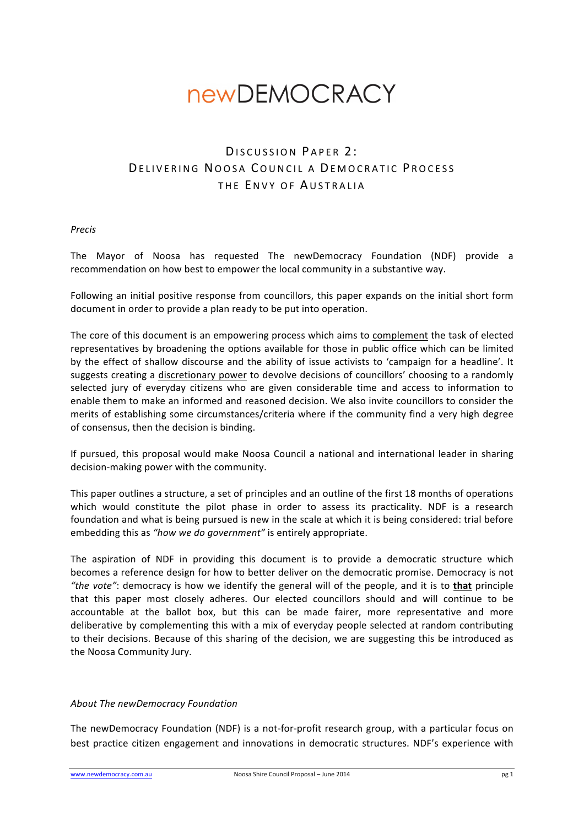# **newDEMOCRACY**

# DISCUSSION PAPER 2: DELIVERING NOOSA COUNCIL A DEMOCRATIC PROCESS THE **FNVY OF AUSTRALIA**

#### *Precis*

The Mayor of Noosa has requested The newDemocracy Foundation (NDF) provide a recommendation on how best to empower the local community in a substantive way.

Following an initial positive response from councillors, this paper expands on the initial short form document in order to provide a plan ready to be put into operation.

The core of this document is an empowering process which aims to complement the task of elected representatives by broadening the options available for those in public office which can be limited by the effect of shallow discourse and the ability of issue activists to 'campaign for a headline'. It suggests creating a discretionary power to devolve decisions of councillors' choosing to a randomly selected jury of everyday citizens who are given considerable time and access to information to enable them to make an informed and reasoned decision. We also invite councillors to consider the merits of establishing some circumstances/criteria where if the community find a very high degree of consensus, then the decision is binding.

If pursued, this proposal would make Noosa Council a national and international leader in sharing decision-making power with the community.

This paper outlines a structure, a set of principles and an outline of the first 18 months of operations which would constitute the pilot phase in order to assess its practicality. NDF is a research foundation and what is being pursued is new in the scale at which it is being considered: trial before embedding this as "how we do government" is entirely appropriate.

The aspiration of NDF in providing this document is to provide a democratic structure which becomes a reference design for how to better deliver on the democratic promise. Democracy is not *"the vote"*: democracy is how we identify the general will of the people, and it is to that principle that this paper most closely adheres. Our elected councillors should and will continue to be accountable at the ballot box, but this can be made fairer, more representative and more deliberative by complementing this with a mix of everyday people selected at random contributing to their decisions. Because of this sharing of the decision, we are suggesting this be introduced as the Noosa Community Jury.

#### **About The newDemocracy Foundation**

The newDemocracy Foundation (NDF) is a not-for-profit research group, with a particular focus on best practice citizen engagement and innovations in democratic structures. NDF's experience with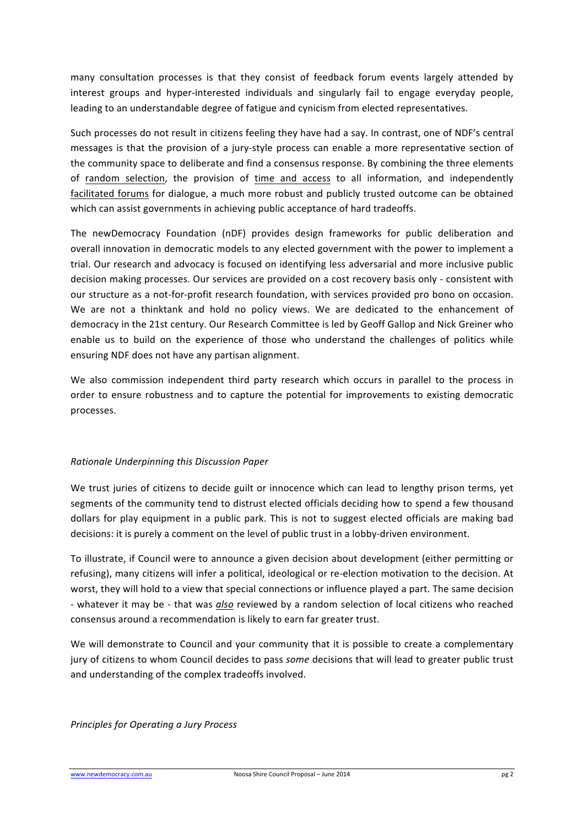many consultation processes is that they consist of feedback forum events largely attended by interest groups and hyper-interested individuals and singularly fail to engage everyday people, leading to an understandable degree of fatigue and cynicism from elected representatives.

Such processes do not result in citizens feeling they have had a say. In contrast, one of NDF's central messages is that the provision of a jury-style process can enable a more representative section of the community space to deliberate and find a consensus response. By combining the three elements of random selection, the provision of time and access to all information, and independently facilitated forums for dialogue, a much more robust and publicly trusted outcome can be obtained which can assist governments in achieving public acceptance of hard tradeoffs.

The newDemocracy Foundation (nDF) provides design frameworks for public deliberation and overall innovation in democratic models to any elected government with the power to implement a trial. Our research and advocacy is focused on identifying less adversarial and more inclusive public decision making processes. Our services are provided on a cost recovery basis only - consistent with our structure as a not-for-profit research foundation, with services provided pro bono on occasion. We are not a thinktank and hold no policy views. We are dedicated to the enhancement of democracy in the 21st century. Our Research Committee is led by Geoff Gallop and Nick Greiner who enable us to build on the experience of those who understand the challenges of politics while ensuring NDF does not have any partisan alignment.

We also commission independent third party research which occurs in parallel to the process in order to ensure robustness and to capture the potential for improvements to existing democratic processes. 

# *Rationale Underpinning this Discussion Paper*

We trust juries of citizens to decide guilt or innocence which can lead to lengthy prison terms, yet segments of the community tend to distrust elected officials deciding how to spend a few thousand dollars for play equipment in a public park. This is not to suggest elected officials are making bad decisions: it is purely a comment on the level of public trust in a lobby-driven environment.

To illustrate, if Council were to announce a given decision about development (either permitting or refusing), many citizens will infer a political, ideological or re-election motivation to the decision. At worst, they will hold to a view that special connections or influence played a part. The same decision - whatever it may be - that was also reviewed by a random selection of local citizens who reached consensus around a recommendation is likely to earn far greater trust.

We will demonstrate to Council and your community that it is possible to create a complementary jury of citizens to whom Council decides to pass *some* decisions that will lead to greater public trust and understanding of the complex tradeoffs involved.

*Principles for Operating a Jury Process*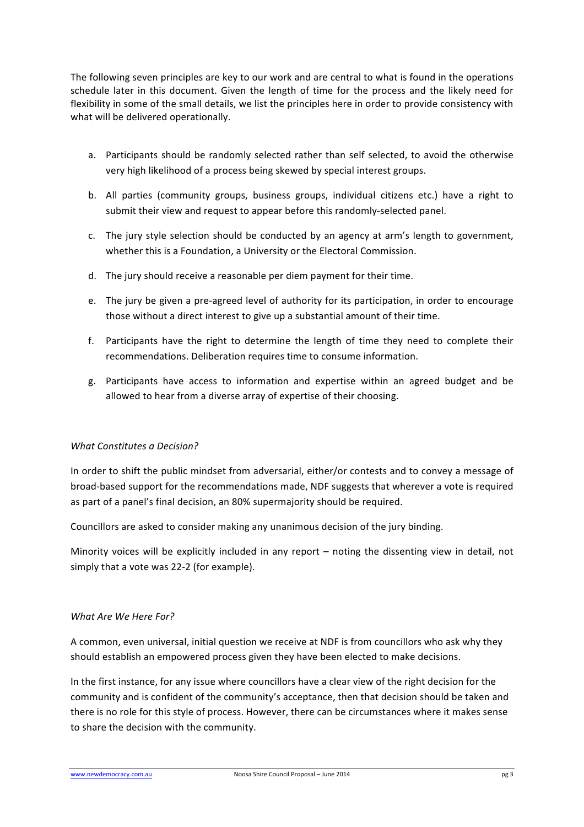The following seven principles are key to our work and are central to what is found in the operations schedule later in this document. Given the length of time for the process and the likely need for flexibility in some of the small details, we list the principles here in order to provide consistency with what will be delivered operationally.

- a. Participants should be randomly selected rather than self selected, to avoid the otherwise very high likelihood of a process being skewed by special interest groups.
- b. All parties (community groups, business groups, individual citizens etc.) have a right to submit their view and request to appear before this randomly-selected panel.
- c. The jury style selection should be conducted by an agency at arm's length to government, whether this is a Foundation, a University or the Electoral Commission.
- d. The jury should receive a reasonable per diem payment for their time.
- e. The jury be given a pre-agreed level of authority for its participation, in order to encourage those without a direct interest to give up a substantial amount of their time.
- f. Participants have the right to determine the length of time they need to complete their recommendations. Deliberation requires time to consume information.
- g. Participants have access to information and expertise within an agreed budget and be allowed to hear from a diverse array of expertise of their choosing.

#### *What Constitutes a Decision?*

In order to shift the public mindset from adversarial, either/or contests and to convey a message of broad-based support for the recommendations made, NDF suggests that wherever a vote is required as part of a panel's final decision, an 80% supermajority should be required.

Councillors are asked to consider making any unanimous decision of the jury binding.

Minority voices will be explicitly included in any report  $-$  noting the dissenting view in detail, not simply that a vote was 22-2 (for example).

#### *What Are We Here For?*

A common, even universal, initial question we receive at NDF is from councillors who ask why they should establish an empowered process given they have been elected to make decisions.

In the first instance, for any issue where councillors have a clear view of the right decision for the community and is confident of the community's acceptance, then that decision should be taken and there is no role for this style of process. However, there can be circumstances where it makes sense to share the decision with the community.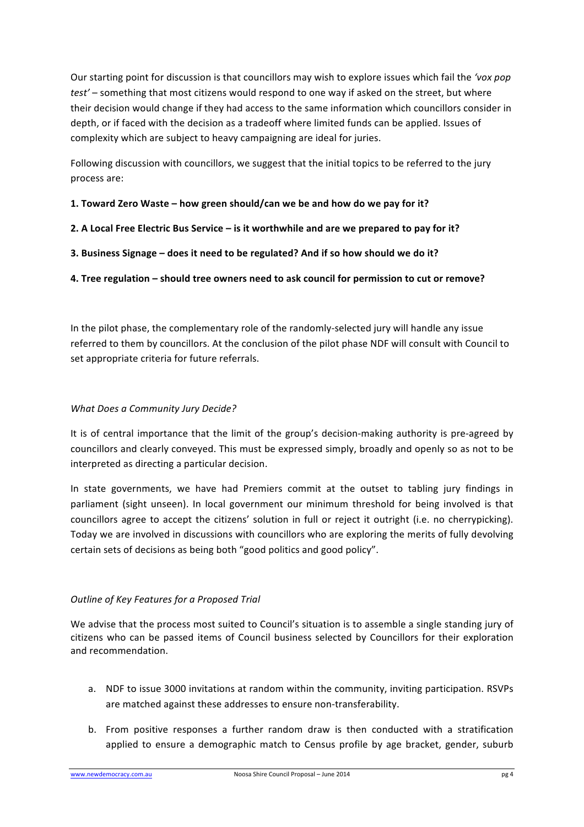Our starting point for discussion is that councillors may wish to explore issues which fail the 'vox pop *test'* – something that most citizens would respond to one way if asked on the street, but where their decision would change if they had access to the same information which councillors consider in depth, or if faced with the decision as a tradeoff where limited funds can be applied. Issues of complexity which are subject to heavy campaigning are ideal for juries.

Following discussion with councillors, we suggest that the initial topics to be referred to the jury process are:

#### **1. Toward Zero Waste – how green should/can we be and how do we pay for it?**

- **2.** A Local Free Electric Bus Service is it worthwhile and are we prepared to pay for it?
- **3.** Business Signage does it need to be regulated? And if so how should we do it?

# **4. Tree regulation – should tree owners need to ask council for permission to cut or remove?**

In the pilot phase, the complementary role of the randomly-selected jury will handle any issue referred to them by councillors. At the conclusion of the pilot phase NDF will consult with Council to set appropriate criteria for future referrals.

#### *What Does a Community Jury Decide?*

It is of central importance that the limit of the group's decision-making authority is pre-agreed by councillors and clearly conveyed. This must be expressed simply, broadly and openly so as not to be interpreted as directing a particular decision.

In state governments, we have had Premiers commit at the outset to tabling jury findings in parliament (sight unseen). In local government our minimum threshold for being involved is that councillors agree to accept the citizens' solution in full or reject it outright (i.e. no cherrypicking). Today we are involved in discussions with councillors who are exploring the merits of fully devolving certain sets of decisions as being both "good politics and good policy".

# *Outline of Key Features for a Proposed Trial*

We advise that the process most suited to Council's situation is to assemble a single standing jury of citizens who can be passed items of Council business selected by Councillors for their exploration and recommendation.

- a. NDF to issue 3000 invitations at random within the community, inviting participation. RSVPs are matched against these addresses to ensure non-transferability.
- b. From positive responses a further random draw is then conducted with a stratification applied to ensure a demographic match to Census profile by age bracket, gender, suburb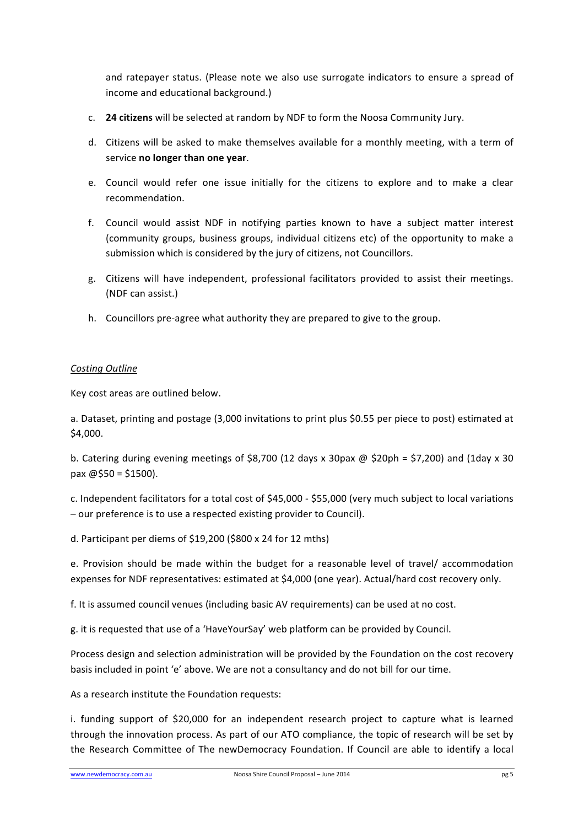and ratepayer status. (Please note we also use surrogate indicators to ensure a spread of income and educational background.)

- c. **24 citizens** will be selected at random by NDF to form the Noosa Community Jury.
- d. Citizens will be asked to make themselves available for a monthly meeting, with a term of service **no** longer than one year.
- e. Council would refer one issue initially for the citizens to explore and to make a clear recommendation.
- f. Council would assist NDF in notifying parties known to have a subject matter interest (community groups, business groups, individual citizens etc) of the opportunity to make a submission which is considered by the jury of citizens, not Councillors.
- g. Citizens will have independent, professional facilitators provided to assist their meetings. (NDF can assist.)
- h. Councillors pre-agree what authority they are prepared to give to the group.

#### *Costing Outline*

Key cost areas are outlined below.

a. Dataset, printing and postage (3,000 invitations to print plus \$0.55 per piece to post) estimated at \$4,000. 

b. Catering during evening meetings of \$8,700 (12 days x 30pax @ \$20ph = \$7,200) and (1day x 30  $\text{pax} \; \text{@} \; \text{$}50 = \text{$}1500$ ).

c. Independent facilitators for a total cost of \$45,000 - \$55,000 (very much subject to local variations – our preference is to use a respected existing provider to Council).

d. Participant per diems of \$19,200 (\$800 x 24 for 12 mths)

e. Provision should be made within the budget for a reasonable level of travel/ accommodation expenses for NDF representatives: estimated at \$4,000 (one year). Actual/hard cost recovery only.

f. It is assumed council venues (including basic AV requirements) can be used at no cost.

g. it is requested that use of a 'HaveYourSay' web platform can be provided by Council.

Process design and selection administration will be provided by the Foundation on the cost recovery basis included in point 'e' above. We are not a consultancy and do not bill for our time.

As a research institute the Foundation requests:

i. funding support of \$20,000 for an independent research project to capture what is learned through the innovation process. As part of our ATO compliance, the topic of research will be set by the Research Committee of The newDemocracy Foundation. If Council are able to identify a local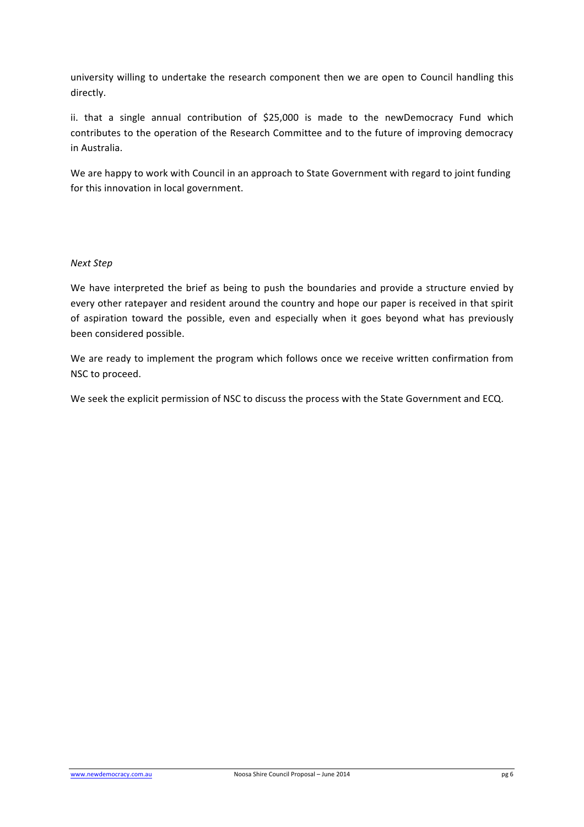university willing to undertake the research component then we are open to Council handling this directly. 

ii. that a single annual contribution of \$25,000 is made to the newDemocracy Fund which contributes to the operation of the Research Committee and to the future of improving democracy in Australia.

We are happy to work with Council in an approach to State Government with regard to joint funding for this innovation in local government.

#### *Next Step*

We have interpreted the brief as being to push the boundaries and provide a structure envied by every other ratepayer and resident around the country and hope our paper is received in that spirit of aspiration toward the possible, even and especially when it goes beyond what has previously been considered possible.

We are ready to implement the program which follows once we receive written confirmation from NSC to proceed.

We seek the explicit permission of NSC to discuss the process with the State Government and ECQ.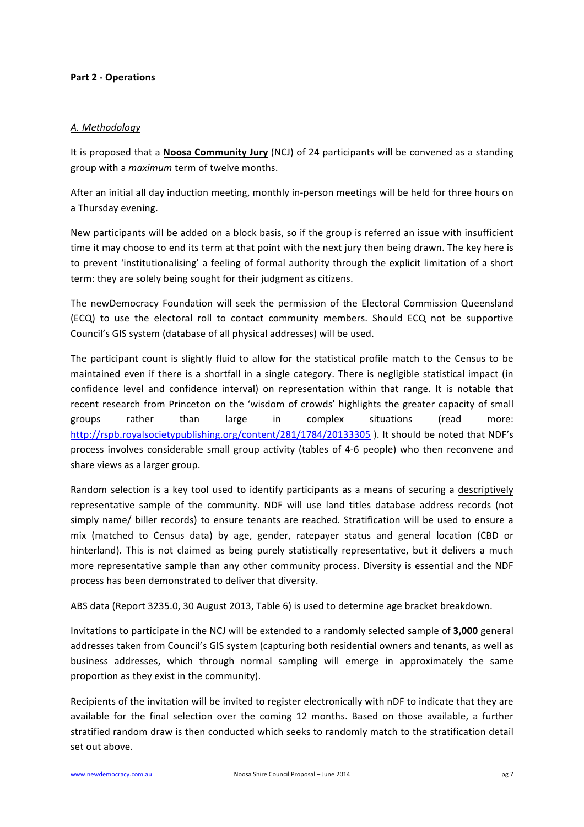#### **Part 2 - Operations**

#### *A. Methodology*

It is proposed that a **Noosa Community Jury** (NCJ) of 24 participants will be convened as a standing group with a *maximum* term of twelve months.

After an initial all day induction meeting, monthly in-person meetings will be held for three hours on a Thursday evening.

New participants will be added on a block basis, so if the group is referred an issue with insufficient time it may choose to end its term at that point with the next jury then being drawn. The key here is to prevent 'institutionalising' a feeling of formal authority through the explicit limitation of a short term: they are solely being sought for their judgment as citizens.

The newDemocracy Foundation will seek the permission of the Electoral Commission Queensland (ECQ) to use the electoral roll to contact community members. Should ECQ not be supportive Council's GIS system (database of all physical addresses) will be used.

The participant count is slightly fluid to allow for the statistical profile match to the Census to be maintained even if there is a shortfall in a single category. There is negligible statistical impact (in confidence level and confidence interval) on representation within that range. It is notable that recent research from Princeton on the 'wisdom of crowds' highlights the greater capacity of small groups rather than large in complex situations (read more: http://rspb.royalsocietypublishing.org/content/281/1784/20133305). It should be noted that NDF's process involves considerable small group activity (tables of 4-6 people) who then reconvene and share views as a larger group.

Random selection is a key tool used to identify participants as a means of securing a descriptively representative sample of the community. NDF will use land titles database address records (not simply name/ biller records) to ensure tenants are reached. Stratification will be used to ensure a mix (matched to Census data) by age, gender, ratepayer status and general location (CBD or hinterland). This is not claimed as being purely statistically representative, but it delivers a much more representative sample than any other community process. Diversity is essential and the NDF process has been demonstrated to deliver that diversity.

ABS data (Report 3235.0, 30 August 2013, Table 6) is used to determine age bracket breakdown.

Invitations to participate in the NCJ will be extended to a randomly selected sample of **3,000** general addresses taken from Council's GIS system (capturing both residential owners and tenants, as well as business addresses, which through normal sampling will emerge in approximately the same proportion as they exist in the community).

Recipients of the invitation will be invited to register electronically with nDF to indicate that they are available for the final selection over the coming 12 months. Based on those available, a further stratified random draw is then conducted which seeks to randomly match to the stratification detail set out above.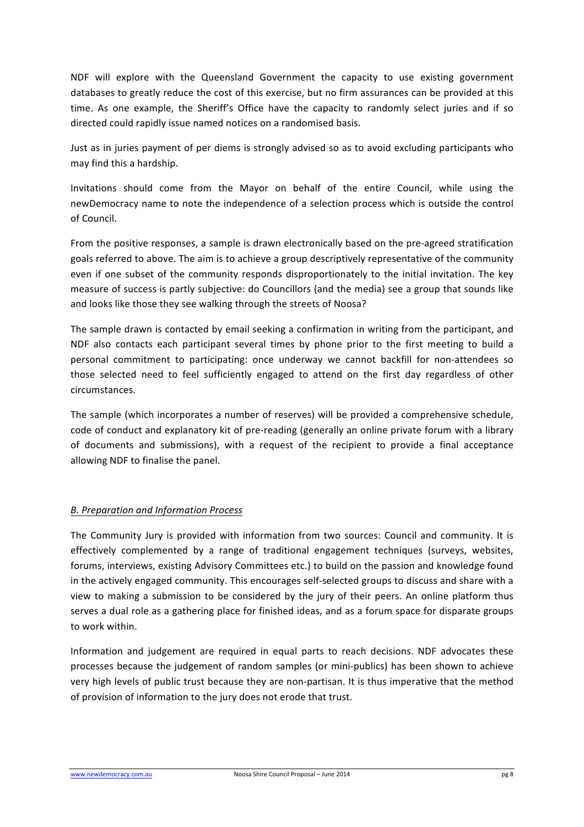NDF will explore with the Queensland Government the capacity to use existing government databases to greatly reduce the cost of this exercise, but no firm assurances can be provided at this time. As one example, the Sheriff's Office have the capacity to randomly select juries and if so directed could rapidly issue named notices on a randomised basis.

Just as in juries payment of per diems is strongly advised so as to avoid excluding participants who may find this a hardship.

Invitations should come from the Mayor on behalf of the entire Council, while using the newDemocracy name to note the independence of a selection process which is outside the control of Council. 

From the positive responses, a sample is drawn electronically based on the pre-agreed stratification goals referred to above. The aim is to achieve a group descriptively representative of the community even if one subset of the community responds disproportionately to the initial invitation. The key measure of success is partly subjective: do Councillors (and the media) see a group that sounds like and looks like those they see walking through the streets of Noosa?

The sample drawn is contacted by email seeking a confirmation in writing from the participant, and NDF also contacts each participant several times by phone prior to the first meeting to build a personal commitment to participating: once underway we cannot backfill for non-attendees so those selected need to feel sufficiently engaged to attend on the first day regardless of other circumstances.

The sample (which incorporates a number of reserves) will be provided a comprehensive schedule, code of conduct and explanatory kit of pre-reading (generally an online private forum with a library of documents and submissions), with a request of the recipient to provide a final acceptance allowing NDF to finalise the panel.

# *B. Preparation and Information Process*

The Community Jury is provided with information from two sources: Council and community. It is effectively complemented by a range of traditional engagement techniques (surveys, websites, forums, interviews, existing Advisory Committees etc.) to build on the passion and knowledge found in the actively engaged community. This encourages self-selected groups to discuss and share with a view to making a submission to be considered by the jury of their peers. An online platform thus serves a dual role as a gathering place for finished ideas, and as a forum space for disparate groups to work within.

Information and judgement are required in equal parts to reach decisions. NDF advocates these processes because the judgement of random samples (or mini-publics) has been shown to achieve very high levels of public trust because they are non-partisan. It is thus imperative that the method of provision of information to the jury does not erode that trust.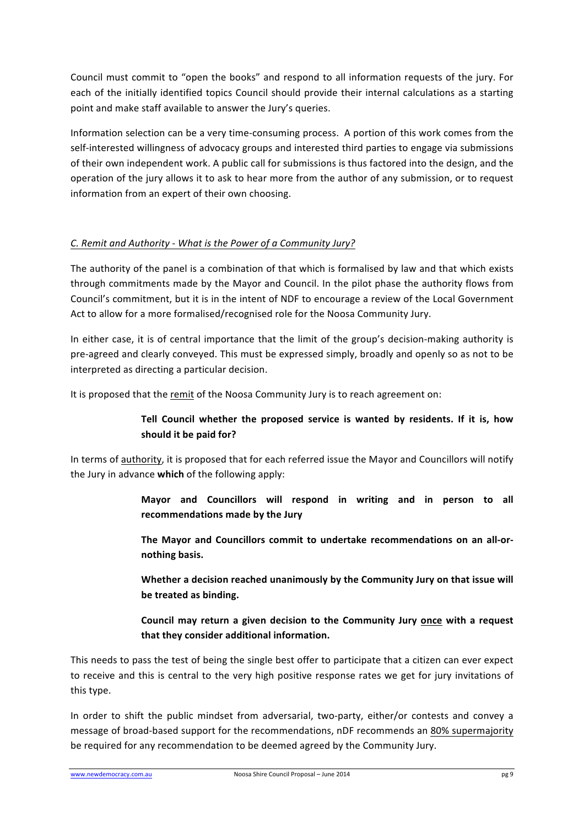Council must commit to "open the books" and respond to all information requests of the jury. For each of the initially identified topics Council should provide their internal calculations as a starting point and make staff available to answer the Jury's queries.

Information selection can be a very time-consuming process. A portion of this work comes from the self-interested willingness of advocacy groups and interested third parties to engage via submissions of their own independent work. A public call for submissions is thus factored into the design, and the operation of the jury allows it to ask to hear more from the author of any submission, or to request information from an expert of their own choosing.

# *C. Remit and Authority - What is the Power of a Community Jury?*

The authority of the panel is a combination of that which is formalised by law and that which exists through commitments made by the Mayor and Council. In the pilot phase the authority flows from Council's commitment, but it is in the intent of NDF to encourage a review of the Local Government Act to allow for a more formalised/recognised role for the Noosa Community Jury.

In either case, it is of central importance that the limit of the group's decision-making authority is pre-agreed and clearly conveyed. This must be expressed simply, broadly and openly so as not to be interpreted as directing a particular decision.

It is proposed that the remit of the Noosa Community Jury is to reach agreement on:

# Tell Council whether the proposed service is wanted by residents. If it is, how should it be paid for?

In terms of authority, it is proposed that for each referred issue the Mayor and Councillors will notify the Jury in advance which of the following apply:

> **Mayor and Councillors will respond in writing and in person to all**  recommendations made by the Jury

> The Mayor and Councillors commit to undertake recommendations on an all-or**nothing basis.**

> **Whether a decision reached unanimously by the Community Jury on that issue will** be treated as binding.

> Council may return a given decision to the Community Jury once with a request that they consider additional information.

This needs to pass the test of being the single best offer to participate that a citizen can ever expect to receive and this is central to the very high positive response rates we get for jury invitations of this type.

In order to shift the public mindset from adversarial, two-party, either/or contests and convey a message of broad-based support for the recommendations, nDF recommends an 80% supermajority be required for any recommendation to be deemed agreed by the Community Jury.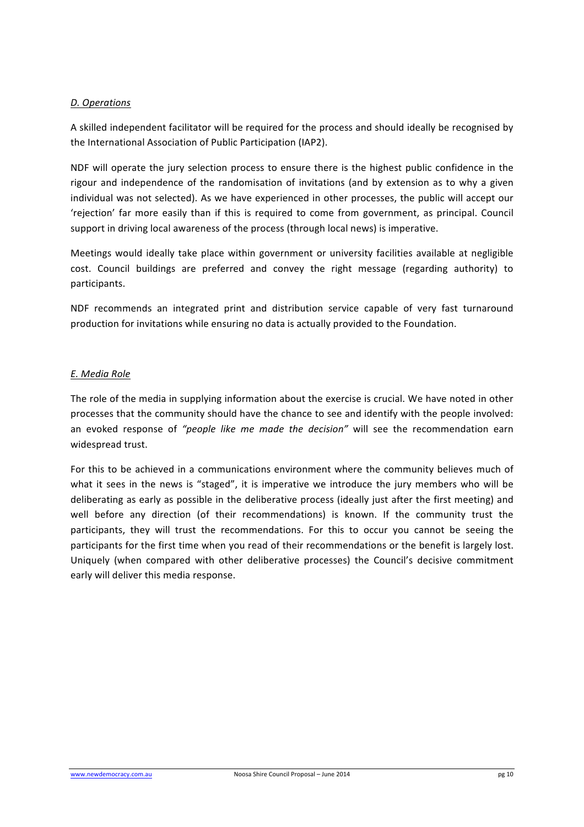#### *D. Operations*

A skilled independent facilitator will be required for the process and should ideally be recognised by the International Association of Public Participation (IAP2).

NDF will operate the jury selection process to ensure there is the highest public confidence in the rigour and independence of the randomisation of invitations (and by extension as to why a given individual was not selected). As we have experienced in other processes, the public will accept our 'rejection' far more easily than if this is required to come from government, as principal. Council support in driving local awareness of the process (through local news) is imperative.

Meetings would ideally take place within government or university facilities available at negligible cost. Council buildings are preferred and convey the right message (regarding authority) to participants.

NDF recommends an integrated print and distribution service capable of very fast turnaround production for invitations while ensuring no data is actually provided to the Foundation.

#### *E. Media Role*

The role of the media in supplying information about the exercise is crucial. We have noted in other processes that the community should have the chance to see and identify with the people involved: an evoked response of "people like me made the decision" will see the recommendation earn widespread trust.

For this to be achieved in a communications environment where the community believes much of what it sees in the news is "staged", it is imperative we introduce the jury members who will be deliberating as early as possible in the deliberative process (ideally just after the first meeting) and well before any direction (of their recommendations) is known. If the community trust the participants, they will trust the recommendations. For this to occur you cannot be seeing the participants for the first time when you read of their recommendations or the benefit is largely lost. Uniquely (when compared with other deliberative processes) the Council's decisive commitment early will deliver this media response.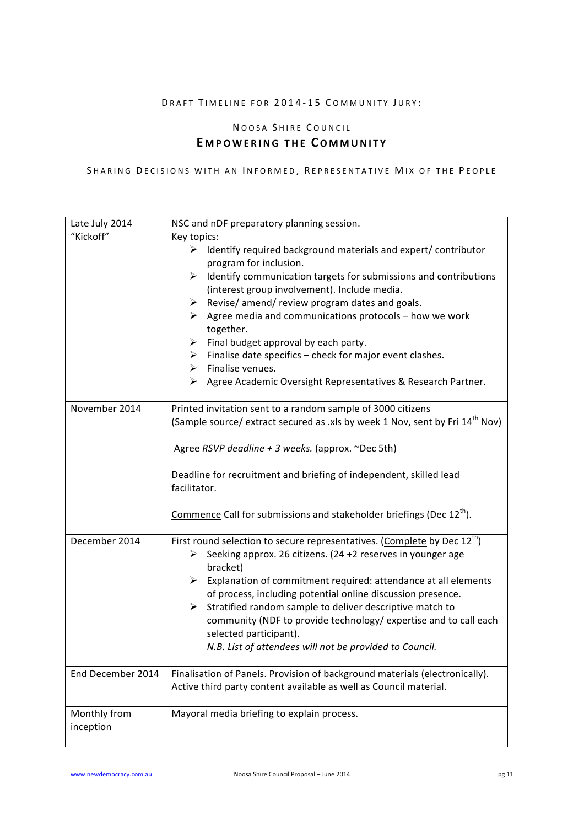# DRAFT TIMELINE FOR 2014-15 COMMUNITY JURY:

# NOOSA SHIRE COUNCIL **E MPOWERING THE COMM UNITY**

#### SHARING DECISIONS WITH AN INFORMED, REPRESENTATIVE MIX OF THE PEOPLE

| Late July 2014    | NSC and nDF preparatory planning session.                                                                                                                                          |
|-------------------|------------------------------------------------------------------------------------------------------------------------------------------------------------------------------------|
| "Kickoff"         | Key topics:                                                                                                                                                                        |
|                   | $\triangleright$ Identify required background materials and expert/ contributor<br>program for inclusion.<br>Identify communication targets for submissions and contributions<br>≻ |
|                   | (interest group involvement). Include media.                                                                                                                                       |
|                   | $\triangleright$ Revise/ amend/ review program dates and goals.                                                                                                                    |
|                   | $\triangleright$ Agree media and communications protocols – how we work<br>together.                                                                                               |
|                   | Final budget approval by each party.<br>➤                                                                                                                                          |
|                   | Finalise date specifics - check for major event clashes.<br>≻                                                                                                                      |
|                   | $\triangleright$ Finalise venues.                                                                                                                                                  |
|                   | > Agree Academic Oversight Representatives & Research Partner.                                                                                                                     |
| November 2014     | Printed invitation sent to a random sample of 3000 citizens                                                                                                                        |
|                   | (Sample source/ extract secured as .xls by week 1 Nov, sent by Fri 14 <sup>th</sup> Nov)                                                                                           |
|                   | Agree RSVP deadline + 3 weeks. (approx. ~Dec 5th)                                                                                                                                  |
|                   | Deadline for recruitment and briefing of independent, skilled lead<br>facilitator.                                                                                                 |
|                   | Commence Call for submissions and stakeholder briefings (Dec 12 <sup>th</sup> ).                                                                                                   |
| December 2014     | First round selection to secure representatives. (Complete by Dec 12 <sup>th</sup> )                                                                                               |
|                   | Seeking approx. 26 citizens. (24 +2 reserves in younger age<br>➤<br>bracket)                                                                                                       |
|                   | $\triangleright$ Explanation of commitment required: attendance at all elements                                                                                                    |
|                   | of process, including potential online discussion presence.                                                                                                                        |
|                   | $\triangleright$ Stratified random sample to deliver descriptive match to                                                                                                          |
|                   | community (NDF to provide technology/ expertise and to call each                                                                                                                   |
|                   | selected participant).                                                                                                                                                             |
|                   | N.B. List of attendees will not be provided to Council.                                                                                                                            |
| End December 2014 | Finalisation of Panels. Provision of background materials (electronically).                                                                                                        |
|                   | Active third party content available as well as Council material.                                                                                                                  |
| Monthly from      | Mayoral media briefing to explain process.                                                                                                                                         |
| inception         |                                                                                                                                                                                    |
|                   |                                                                                                                                                                                    |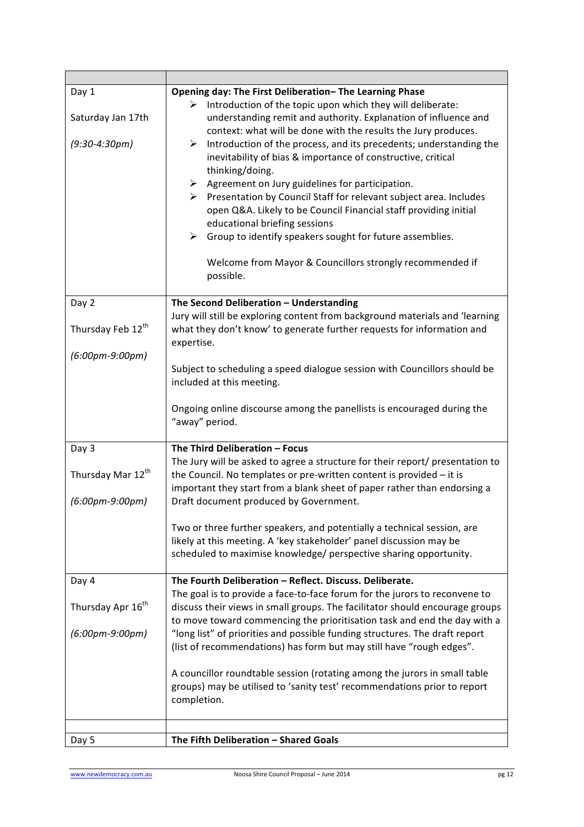| Day 1<br>Saturday Jan 17th<br>$(9:30-4:30pm)$                        | Opening day: The First Deliberation-The Learning Phase<br>Introduction of the topic upon which they will deliberate:<br>➤<br>understanding remit and authority. Explanation of influence and<br>context: what will be done with the results the Jury produces.<br>Introduction of the process, and its precedents; understanding the<br>➤<br>inevitability of bias & importance of constructive, critical<br>thinking/doing.<br>$\triangleright$ Agreement on Jury guidelines for participation.<br>▶ Presentation by Council Staff for relevant subject area. Includes<br>open Q&A. Likely to be Council Financial staff providing initial<br>educational briefing sessions<br>$\blacktriangleright$<br>Group to identify speakers sought for future assemblies.<br>Welcome from Mayor & Councillors strongly recommended if<br>possible. |
|----------------------------------------------------------------------|--------------------------------------------------------------------------------------------------------------------------------------------------------------------------------------------------------------------------------------------------------------------------------------------------------------------------------------------------------------------------------------------------------------------------------------------------------------------------------------------------------------------------------------------------------------------------------------------------------------------------------------------------------------------------------------------------------------------------------------------------------------------------------------------------------------------------------------------|
| Day 2<br>Thursday Feb 12th<br>$(6:00pm-9:00pm)$                      | The Second Deliberation - Understanding<br>Jury will still be exploring content from background materials and 'learning<br>what they don't know' to generate further requests for information and<br>expertise.<br>Subject to scheduling a speed dialogue session with Councillors should be<br>included at this meeting.<br>Ongoing online discourse among the panellists is encouraged during the<br>"away" period.                                                                                                                                                                                                                                                                                                                                                                                                                      |
| Day 3<br>Thursday Mar 12 <sup>th</sup><br>$(6:00pm-9:00pm)$<br>Day 4 | The Third Deliberation - Focus<br>The Jury will be asked to agree a structure for their report/ presentation to<br>the Council. No templates or pre-written content is provided - it is<br>important they start from a blank sheet of paper rather than endorsing a<br>Draft document produced by Government.<br>Two or three further speakers, and potentially a technical session, are<br>likely at this meeting. A 'key stakeholder' panel discussion may be<br>scheduled to maximise knowledge/ perspective sharing opportunity.<br>The Fourth Deliberation - Reflect. Discuss. Deliberate.                                                                                                                                                                                                                                            |
| Thursday Apr 16 <sup>th</sup><br>$(6:00pm-9:00pm)$                   | The goal is to provide a face-to-face forum for the jurors to reconvene to<br>discuss their views in small groups. The facilitator should encourage groups<br>to move toward commencing the prioritisation task and end the day with a<br>"long list" of priorities and possible funding structures. The draft report<br>(list of recommendations) has form but may still have "rough edges".<br>A councillor roundtable session (rotating among the jurors in small table<br>groups) may be utilised to 'sanity test' recommendations prior to report<br>completion.<br>The Fifth Deliberation - Shared Goals                                                                                                                                                                                                                             |
| Day 5                                                                |                                                                                                                                                                                                                                                                                                                                                                                                                                                                                                                                                                                                                                                                                                                                                                                                                                            |